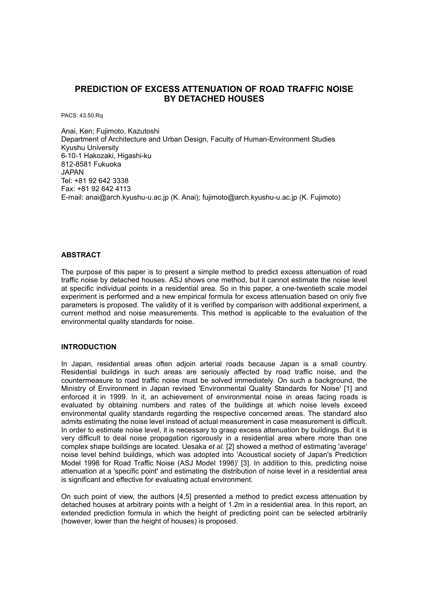# **PREDICTION OF EXCESS ATTENUATION OF ROAD TRAFFIC NOISE BY DETACHED HOUSES**

PACS: 43.50.Rq

Anai, Ken; Fujimoto, Kazutoshi Department of Architecture and Urban Design, Faculty of Human-Environment Studies Kyushu University 6-10-1 Hakozaki, Higashi-ku 812-8581 Fukuoka JAPAN Tel: +81 92 642 3338 Fax: +81 92 642 4113 E-mail: anai@arch.kyushu-u.ac.jp (K. Anai); fujimoto@arch.kyushu-u.ac.jp (K. Fujimoto)

## **ABSTRACT**

The purpose of this paper is to present a simple method to predict excess attenuation of road traffic noise by detached houses. ASJ shows one method, but it cannot estimate the noise level at specific individual points in a residential area. So in this paper, a one-twentieth scale model experiment is performed and a new empirical formula for excess attenuation based on only five parameters is proposed. The validity of it is verified by comparison with additional experiment, a current method and noise measurements. This method is applicable to the evaluation of the environmental quality standards for noise.

#### **INTRODUCTION**

In Japan, residential areas often adjoin arterial roads because Japan is a small country. Residential buildings in such areas are seriously affected by road traffic noise, and the countermeasure to road traffic noise must be solved immediately. On such a background, the Ministry of Environment in Japan revised 'Environmental Quality Standards for Noise' [1] and enforced it in 1999. In it, an achievement of environmental noise in areas facing roads is evaluated by obtaining numbers and rates of the buildings at which noise levels exceed environmental quality standards regarding the respective concerned areas. The standard also admits estimating the noise level instead of actual measurement in case measurement is difficult. In order to estimate noise level, it is necessary to grasp excess attenuation by buildings. But it is very difficult to deal noise propagation rigorously in a residential area where more than one complex shape buildings are located. Uesaka *et al.* [2] showed a method of estimating 'average' noise level behind buildings, which was adopted into 'Acoustical society of Japan's Prediction Model 1998 for Road Traffic Noise (ASJ Model 1998)' [3]. In addition to this, predicting noise attenuation at a 'specific point' and estimating the distribution of noise level in a residential area is significant and effective for evaluating actual environment.

On such point of view, the authors [4,5] presented a method to predict excess attenuation by detached houses at arbitrary points with a height of 1.2m in a residential area. In this report, an extended prediction formula in which the height of predicting point can be selected arbitrarily (however, lower than the height of houses) is proposed.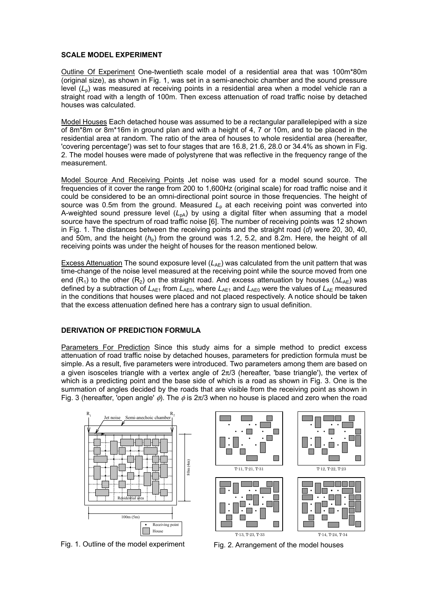## **SCALE MODEL EXPERIMENT**

Outline Of Experiment One-twentieth scale model of a residential area that was 100m\*80m (original size), as shown in Fig. 1, was set in a semi-anechoic chamber and the sound pressure level (*L*p) was measured at receiving points in a residential area when a model vehicle ran a straight road with a length of 100m. Then excess attenuation of road traffic noise by detached houses was calculated.

Model Houses Each detached house was assumed to be a rectangular parallelepiped with a size of 8m\*8m or 8m\*16m in ground plan and with a height of 4, 7 or 10m, and to be placed in the residential area at random. The ratio of the area of houses to whole residential area (hereafter, 'covering percentage') was set to four stages that are 16.8, 21.6, 28.0 or 34.4% as shown in Fig. 2. The model houses were made of polystyrene that was reflective in the frequency range of the measurement.

Model Source And Receiving Points Jet noise was used for a model sound source. The frequencies of it cover the range from 200 to 1,600Hz (original scale) for road traffic noise and it could be considered to be an omni-directional point source in those frequencies. The height of source was 0.5m from the ground. Measured  $L<sub>p</sub>$  at each receiving point was converted into A-weighted sound pressure level  $(L_{pA})$  by using a digital filter when assuming that a model source have the spectrum of road traffic noise [6]. The number of receiving points was 12 shown in Fig. 1. The distances between the receiving points and the straight road (*d*) were 20, 30, 40, and 50m, and the height ( $h<sub>p</sub>$ ) from the ground was 1.2, 5.2, and 8.2m. Here, the height of all receiving points was under the height of houses for the reason mentioned below.

Excess Attenuation The sound exposure level  $(L_{AE})$  was calculated from the unit pattern that was time-change of the noise level measured at the receiving point while the source moved from one end (R<sub>1</sub>) to the other (R<sub>2</sub>) on the straight road. And excess attenuation by houses (ΔL<sub>AE</sub>) was defined by a subtraction of  $L_{AE1}$  from  $L_{AE0}$ , where  $L_{AE1}$  and  $L_{AE0}$  were the values of  $L_{AE}$  measured in the conditions that houses were placed and not placed respectively. A notice should be taken that the excess attenuation defined here has a contrary sign to usual definition.

#### **DERIVATION OF PREDICTION FORMULA**

Parameters For Prediction Since this study aims for a simple method to predict excess attenuation of road traffic noise by detached houses, parameters for prediction formula must be simple. As a result, five parameters were introduced. Two parameters among them are based on a given isosceles triangle with a vertex angle of  $2\pi/3$  (hereafter, 'base triangle'), the vertex of which is a predicting point and the base side of which is a road as shown in Fig. 3. One is the summation of angles decided by the roads that are visible from the receiving point as shown in Fig. 3 (hereafter, 'open angle'  $\phi$ ). The  $\phi$  is 2 $\pi$ /3 when no house is placed and zero when the road



Fig. 1. Outline of the model experiment

Fig. 2. Arrangement of the model houses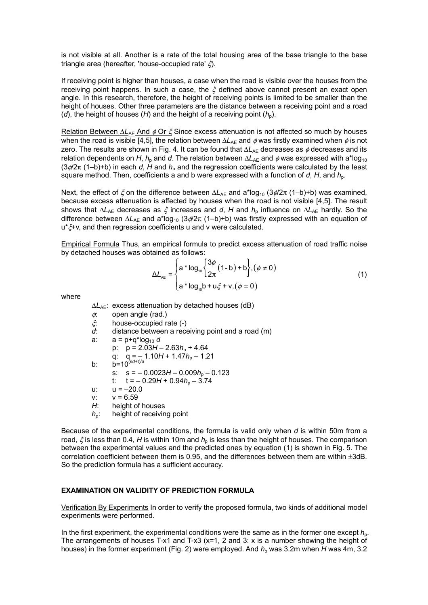is not visible at all. Another is a rate of the total housing area of the base triangle to the base triangle area (hereafter, 'house-occupied rate' ξ).

If receiving point is higher than houses, a case when the road is visible over the houses from the receiving point happens. In such a case, the  $\xi$  defined above cannot present an exact open angle. In this research, therefore, the height of receiving points is limited to be smaller than the height of houses. Other three parameters are the distance between a receiving point and a road (*d*), the height of houses (*H*) and the height of a receiving point  $(h_n)$ .

Relation Between ∆*L*<sub>AF</sub> And φ Or *ξ* Since excess attenuation is not affected so much by houses when the road is visible [4,5], the relation between  $\Delta L_{AE}$  and  $\phi$  was firstly examined when  $\phi$  is not zero. The results are shown in Fig. 4. It can be found that ∆*L*<sub>AE</sub> decreases as  $\phi$  decreases and its relation dependents on *H*,  $h_0$  and *d*. The relation between  $\Delta L_{AE}$  and  $\phi$  was expressed with a\*log<sub>10</sub> (3φ/2π (1–b)+b) in each *d*, *H* and *h*p and the regression coefficients were calculated by the least square method. Then, coefficients a and b were expressed with a function of  $d$ ,  $H$ , and  $h<sub>p</sub>$ .

Next, the effect of *ξ* on the difference between ∆*L*<sub>AF</sub> and a\*log<sub>10</sub> (3¢/2π (1–b)+b) was examined, because excess attenuation is affected by houses when the road is not visible [4,5]. The result shows that ∆*L*<sub>AE</sub> decreases as  $\xi$  increases and *d*, *H* and *h*<sub>p</sub> influence on ∆*L*<sub>AE</sub> hardly. So the difference between ΔL<sub>AE</sub> and a\*log<sub>10</sub> (3¢/2π (1–b)+b) was firstly expressed with an equation of u\*ξ+v, and then regression coefficients u and v were calculated.

Empirical Formula Thus, an empirical formula to predict excess attenuation of road traffic noise by detached houses was obtained as follows:

$$
\Delta L_{AE} = \begin{cases} a * \log_{10} \left\{ \frac{3\phi}{2\pi} (1-b) + b \right\}, (\phi \neq 0) \\ a * \log_{10} b + u\xi + v, (\phi = 0) \end{cases}
$$
(1)

where

∆*L*AE: excess attenuation by detached houses (dB)

- $\phi$ : open angle (rad.)
	- ξ: house-occupied rate (-)
	- *d*: distance between a receiving point and a road (m)
	- a:  $a = p + q^* \log_{10} d$ p:  $p = 2.03H - 2.63h<sub>p</sub> + 4.64$ q:  $q = -1.10H + 1.47h_p - 1.21$ b: b=10(s*d*+t)/a s:  $s = -0.0023H - 0.009h<sub>b</sub> - 0.123$ t:  $t = -0.29H + 0.94h<sub>p</sub> - 3.74$ u:  $u = -20.0$
	- $v: v = 6.59$
	- *H*: height of houses
	- *h*<sub>p</sub>: height of receiving point

Because of the experimental conditions, the formula is valid only when *d* is within 50m from a road,  $\zeta$  is less than 0.4, *H* is within 10m and  $h<sub>o</sub>$  is less than the height of houses. The comparison between the experimental values and the predicted ones by equation (1) is shown in Fig. 5. The correlation coefficient between them is 0.95, and the differences between them are within  $\pm 3d$ B. So the prediction formula has a sufficient accuracy.

# **EXAMINATION ON VALIDITY OF PREDICTION FORMULA**

Verification By Experiments In order to verify the proposed formula, two kinds of additional model experiments were performed.

In the first experiment, the experimental conditions were the same as in the former one except  $h_{0}$ . The arrangements of houses T-x1 and T-x3 ( $x=1$ , 2 and 3: x is a number showing the height of houses) in the former experiment (Fig. 2) were employed. And  $h_p$  was 3.2m when *H* was 4m, 3.2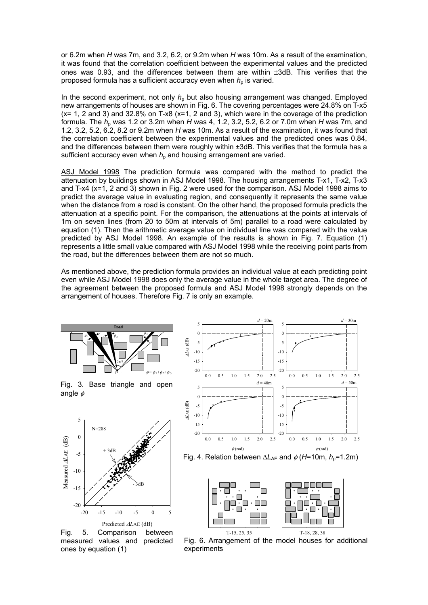or 6.2m when *H* was 7m, and 3.2, 6.2, or 9.2m when *H* was 10m. As a result of the examination, it was found that the correlation coefficient between the experimental values and the predicted ones was 0.93, and the differences between them are within  $\pm 3$ dB. This verifies that the proposed formula has a sufficient accuracy even when  $h_p$  is varied.

In the second experiment, not only  $h<sub>p</sub>$  but also housing arrangement was changed. Employed new arrangements of houses are shown in Fig. 6. The covering percentages were 24.8% on T-x5  $(x= 1, 2,$  and 3) and 32.8% on T-x8  $(x=1, 2, 3)$ , which were in the coverage of the prediction formula. The  $h<sub>0</sub>$  was 1.2 or 3.2m when *H* was 4, 1.2, 3.2, 5.2, 6.2 or 7.0m when *H* was 7m, and 1.2, 3.2, 5.2, 6.2, 8.2 or 9.2m when *H* was 10m. As a result of the examination, it was found that the correlation coefficient between the experimental values and the predicted ones was 0.84, and the differences between them were roughly within ±3dB. This verifies that the formula has a sufficient accuracy even when  $h<sub>p</sub>$  and housing arrangement are varied.

ASJ Model 1998 The prediction formula was compared with the method to predict the attenuation by buildings shown in ASJ Model 1998. The housing arrangements T-x1, T-x2, T-x3 and T-x4 (x=1, 2 and 3) shown in Fig. 2 were used for the comparison. ASJ Model 1998 aims to predict the average value in evaluating region, and consequently it represents the same value when the distance from a road is constant. On the other hand, the proposed formula predicts the attenuation at a specific point. For the comparison, the attenuations at the points at intervals of 1m on seven lines (from 20 to 50m at intervals of 5m) parallel to a road were calculated by equation (1). Then the arithmetic average value on individual line was compared with the value predicted by ASJ Model 1998. An example of the results is shown in Fig. 7. Equation (1) represents a little small value compared with ASJ Model 1998 while the receiving point parts from the road, but the differences between them are not so much.

As mentioned above, the prediction formula provides an individual value at each predicting point even while ASJ Model 1998 does only the average value in the whole target area. The degree of the agreement between the proposed formula and ASJ Model 1998 strongly depends on the arrangement of houses. Therefore Fig. 7 is only an example.



Fig. 3. Base triangle and open angle  $\phi$ 



Fig. 5. Comparison between measured values and predicted ones by equation (1)







Fig. 6. Arrangement of the model houses for additional experiments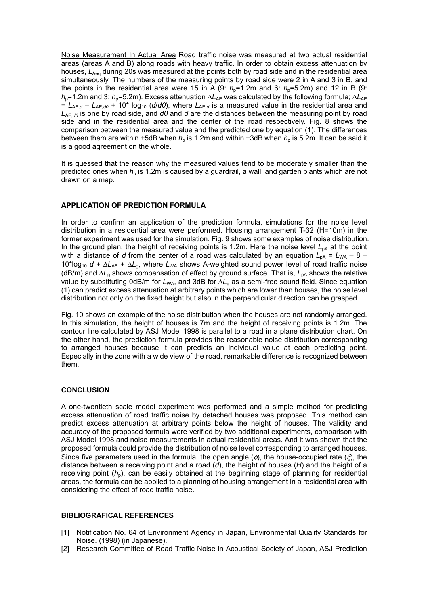Noise Measurement In Actual Area Road traffic noise was measured at two actual residential areas (areas A and B) along roads with heavy traffic. In order to obtain excess attenuation by houses, *L<sub>Aen</sub>* during 20s was measured at the points both by road side and in the residential area simultaneously. The numbers of the measuring points by road side were 2 in A and 3 in B, and the points in the residential area were 15 in A  $(9: h<sub>0</sub>=1.2m$  and 6:  $h<sub>0</sub>=5.2m$ ) and 12 in B  $(9: h<sub>0</sub>=1.2m)$ *h*<sub>p</sub>=1.2m and 3: *h*<sub>p</sub>=5.2m). Excess attenuation ∆*L*<sub>AE</sub> was calculated by the following formula; ∆*L*<sub>AE</sub>  $= L_{AE,d} - L_{AE,d0} + 10^{*} \log_{10} (d/d0)$ , where  $L_{AE,d}$  is a measured value in the residential area and *L*AE,*d0* is one by road side, and *d0* and *d* are the distances between the measuring point by road side and in the residential area and the center of the road respectively. Fig. 8 shows the comparison between the measured value and the predicted one by equation (1). The differences between them are within  $\pm 5$ dB when  $h<sub>o</sub>$  is 1.2m and within  $\pm 3$ dB when  $h<sub>o</sub>$  is 5.2m. It can be said it is a good agreement on the whole.

It is guessed that the reason why the measured values tend to be moderately smaller than the predicted ones when  $h_0$  is 1.2m is caused by a guardrail, a wall, and garden plants which are not drawn on a map.

### **APPLICATION OF PREDICTION FORMULA**

In order to confirm an application of the prediction formula, simulations for the noise level distribution in a residential area were performed. Housing arrangement T-32 (H=10m) in the former experiment was used for the simulation. Fig. 9 shows some examples of noise distribution. In the ground plan, the height of receiving points is 1.2m. Here the noise level  $L_{DA}$  at the point with a distance of *d* from the center of a road was calculated by an equation  $L_{pA} = L_{WA} - 8 - 1$ 10\*log10 *d* + ∆*L*AE + ∆*L*g, where *L*WA shows A-weighted sound power level of road traffic noise (dB/m) and ∆*L*g shows compensation of effect by ground surface. That is, *L*pA shows the relative value by substituting 0dB/m for *L*<sub>WA</sub>, and 3dB for  $\Delta L_q$  as a semi-free sound field. Since equation (1) can predict excess attenuation at arbitrary points which are lower than houses, the noise level distribution not only on the fixed height but also in the perpendicular direction can be grasped.

Fig. 10 shows an example of the noise distribution when the houses are not randomly arranged. In this simulation, the height of houses is 7m and the height of receiving points is 1.2m. The contour line calculated by ASJ Model 1998 is parallel to a road in a plane distribution chart. On the other hand, the prediction formula provides the reasonable noise distribution corresponding to arranged houses because it can predicts an individual value at each predicting point. Especially in the zone with a wide view of the road, remarkable difference is recognized between them.

# **CONCLUSION**

A one-twentieth scale model experiment was performed and a simple method for predicting excess attenuation of road traffic noise by detached houses was proposed. This method can predict excess attenuation at arbitrary points below the height of houses. The validity and accuracy of the proposed formula were verified by two additional experiments, comparison with ASJ Model 1998 and noise measurements in actual residential areas. And it was shown that the proposed formula could provide the distribution of noise level corresponding to arranged houses. Since five parameters used in the formula, the open angle ( $\phi$ ), the house-occupied rate ( $\xi$ ), the distance between a receiving point and a road (*d*), the height of houses (*H*) and the height of a receiving point  $(h_n)$ , can be easily obtained at the beginning stage of planning for residential areas, the formula can be applied to a planning of housing arrangement in a residential area with considering the effect of road traffic noise.

#### **BIBLIOGRAFICAL REFERENCES**

- [1] Notification No. 64 of Environment Agency in Japan, Environmental Quality Standards for Noise. (1998) (in Japanese).
- [2] Research Committee of Road Traffic Noise in Acoustical Society of Japan, ASJ Prediction